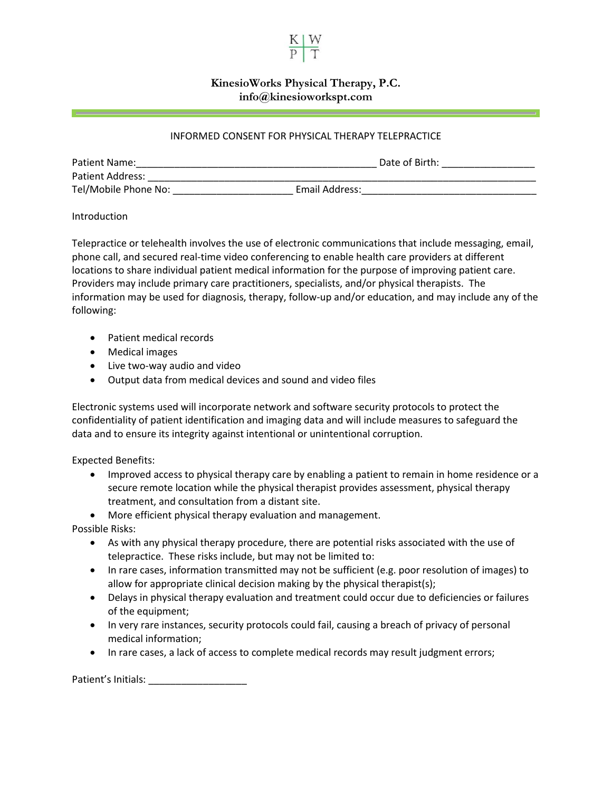

## **KinesioWorks Physical Therapy, P.C. info@kinesioworkspt.com**

## INFORMED CONSENT FOR PHYSICAL THERAPY TELEPRACTICE

| Patient Name:        |                | Date of Birth: |  |
|----------------------|----------------|----------------|--|
| Patient Address:     |                |                |  |
| Tel/Mobile Phone No: | Email Address: |                |  |

## Introduction

Telepractice or telehealth involves the use of electronic communications that include messaging, email, phone call, and secured real-time video conferencing to enable health care providers at different locations to share individual patient medical information for the purpose of improving patient care. Providers may include primary care practitioners, specialists, and/or physical therapists. The information may be used for diagnosis, therapy, follow-up and/or education, and may include any of the following:

- Patient medical records
- Medical images
- Live two-way audio and video
- Output data from medical devices and sound and video files

Electronic systems used will incorporate network and software security protocols to protect the confidentiality of patient identification and imaging data and will include measures to safeguard the data and to ensure its integrity against intentional or unintentional corruption.

Expected Benefits:

- Improved access to physical therapy care by enabling a patient to remain in home residence or a secure remote location while the physical therapist provides assessment, physical therapy treatment, and consultation from a distant site.
- More efficient physical therapy evaluation and management.

Possible Risks:

- As with any physical therapy procedure, there are potential risks associated with the use of telepractice. These risks include, but may not be limited to:
- In rare cases, information transmitted may not be sufficient (e.g. poor resolution of images) to allow for appropriate clinical decision making by the physical therapist(s);
- Delays in physical therapy evaluation and treatment could occur due to deficiencies or failures of the equipment;
- In very rare instances, security protocols could fail, causing a breach of privacy of personal medical information;
- In rare cases, a lack of access to complete medical records may result judgment errors;

Patient's Initials: \_\_\_\_\_\_\_\_\_\_\_\_\_\_\_\_\_\_